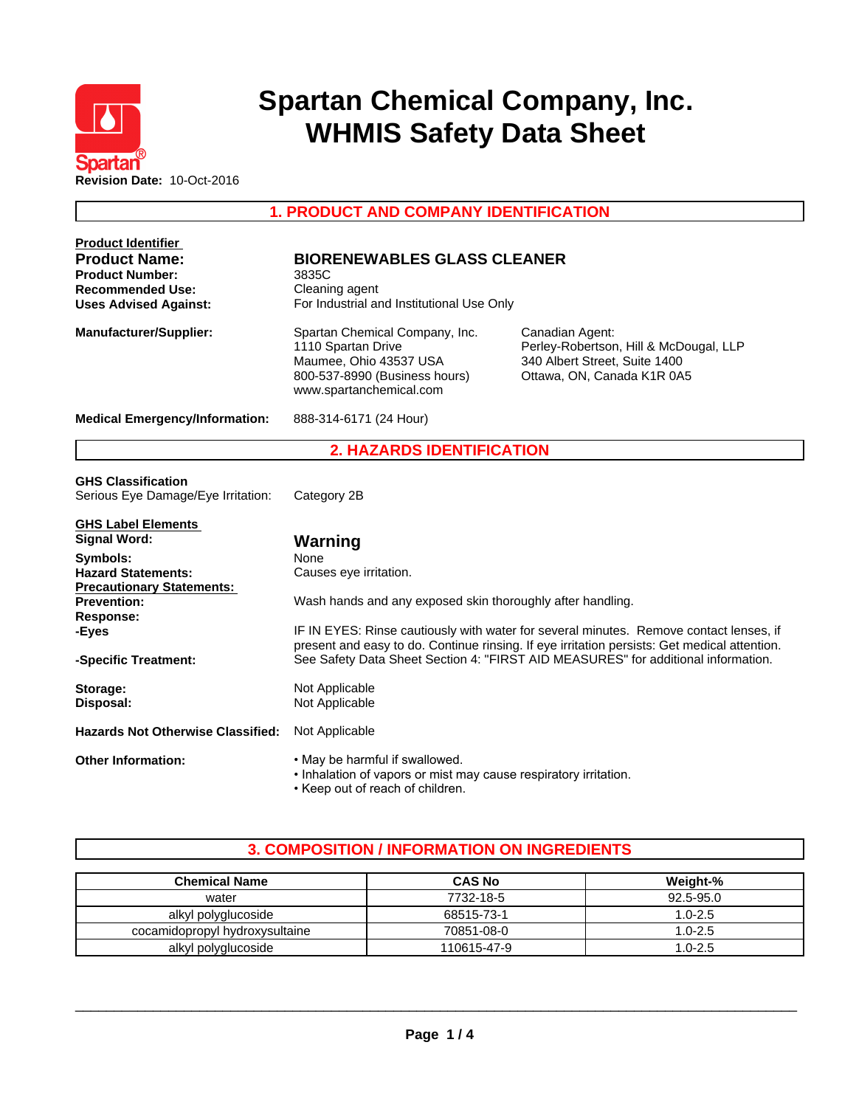

# **Spartan Chemical Company, Inc. WHMIS Safety Data Sheet**

**1. PRODUCT AND COMPANY IDENTIFICATION**

| <b>Product Identifier</b>                |                                                                  |                                                                                                                                                                                        |  |  |
|------------------------------------------|------------------------------------------------------------------|----------------------------------------------------------------------------------------------------------------------------------------------------------------------------------------|--|--|
| <b>Product Name:</b>                     | <b>BIORENEWABLES GLASS CLEANER</b>                               |                                                                                                                                                                                        |  |  |
| <b>Product Number:</b>                   | 3835C<br>Cleaning agent                                          |                                                                                                                                                                                        |  |  |
| <b>Recommended Use:</b>                  |                                                                  |                                                                                                                                                                                        |  |  |
| <b>Uses Advised Against:</b>             | For Industrial and Institutional Use Only                        |                                                                                                                                                                                        |  |  |
| <b>Manufacturer/Supplier:</b>            | Spartan Chemical Company, Inc.                                   | Canadian Agent:                                                                                                                                                                        |  |  |
|                                          | 1110 Spartan Drive                                               | Perley-Robertson, Hill & McDougal, LLP                                                                                                                                                 |  |  |
|                                          | Maumee, Ohio 43537 USA                                           | 340 Albert Street, Suite 1400                                                                                                                                                          |  |  |
|                                          | 800-537-8990 (Business hours)                                    | Ottawa, ON, Canada K1R 0A5                                                                                                                                                             |  |  |
|                                          | www.spartanchemical.com                                          |                                                                                                                                                                                        |  |  |
| <b>Medical Emergency/Information:</b>    | 888-314-6171 (24 Hour)                                           |                                                                                                                                                                                        |  |  |
|                                          | <b>2. HAZARDS IDENTIFICATION</b>                                 |                                                                                                                                                                                        |  |  |
| <b>GHS Classification</b>                |                                                                  |                                                                                                                                                                                        |  |  |
| Serious Eye Damage/Eye Irritation:       | Category 2B                                                      |                                                                                                                                                                                        |  |  |
|                                          |                                                                  |                                                                                                                                                                                        |  |  |
| <b>GHS Label Elements</b>                |                                                                  |                                                                                                                                                                                        |  |  |
| <b>Signal Word:</b>                      | Warning                                                          |                                                                                                                                                                                        |  |  |
| Symbols:                                 | None                                                             |                                                                                                                                                                                        |  |  |
| <b>Hazard Statements:</b>                | Causes eye irritation.                                           |                                                                                                                                                                                        |  |  |
| <b>Precautionary Statements:</b>         |                                                                  |                                                                                                                                                                                        |  |  |
| <b>Prevention:</b>                       | Wash hands and any exposed skin thoroughly after handling.       |                                                                                                                                                                                        |  |  |
| <b>Response:</b>                         |                                                                  |                                                                                                                                                                                        |  |  |
| -Eyes                                    |                                                                  | IF IN EYES: Rinse cautiously with water for several minutes. Remove contact lenses, if<br>present and easy to do. Continue rinsing. If eye irritation persists: Get medical attention. |  |  |
| -Specific Treatment:                     |                                                                  | See Safety Data Sheet Section 4: "FIRST AID MEASURES" for additional information.                                                                                                      |  |  |
|                                          |                                                                  |                                                                                                                                                                                        |  |  |
| Storage:                                 | Not Applicable                                                   |                                                                                                                                                                                        |  |  |
| Disposal:                                | Not Applicable                                                   |                                                                                                                                                                                        |  |  |
|                                          |                                                                  |                                                                                                                                                                                        |  |  |
| <b>Hazards Not Otherwise Classified:</b> | Not Applicable                                                   |                                                                                                                                                                                        |  |  |
| <b>Other Information:</b>                | . May be harmful if swallowed.                                   |                                                                                                                                                                                        |  |  |
|                                          | . Inhalation of vapors or mist may cause respiratory irritation. |                                                                                                                                                                                        |  |  |
|                                          | • Keep out of reach of children.                                 |                                                                                                                                                                                        |  |  |

# **3. COMPOSITION / INFORMATION ON INGREDIENTS**

| <b>Chemical Name</b>           | <b>CAS No</b> | Weight-%    |
|--------------------------------|---------------|-------------|
| water                          | 7732-18-5     | 92.5-95.0   |
| alkyl polyglucoside            | 68515-73-1    | $1.0 - 2.5$ |
| cocamidopropyl hydroxysultaine | 70851-08-0    | $1.0 - 2.5$ |
| alkyl polyglucoside            | 110615-47-9   | $1.0 - 2.5$ |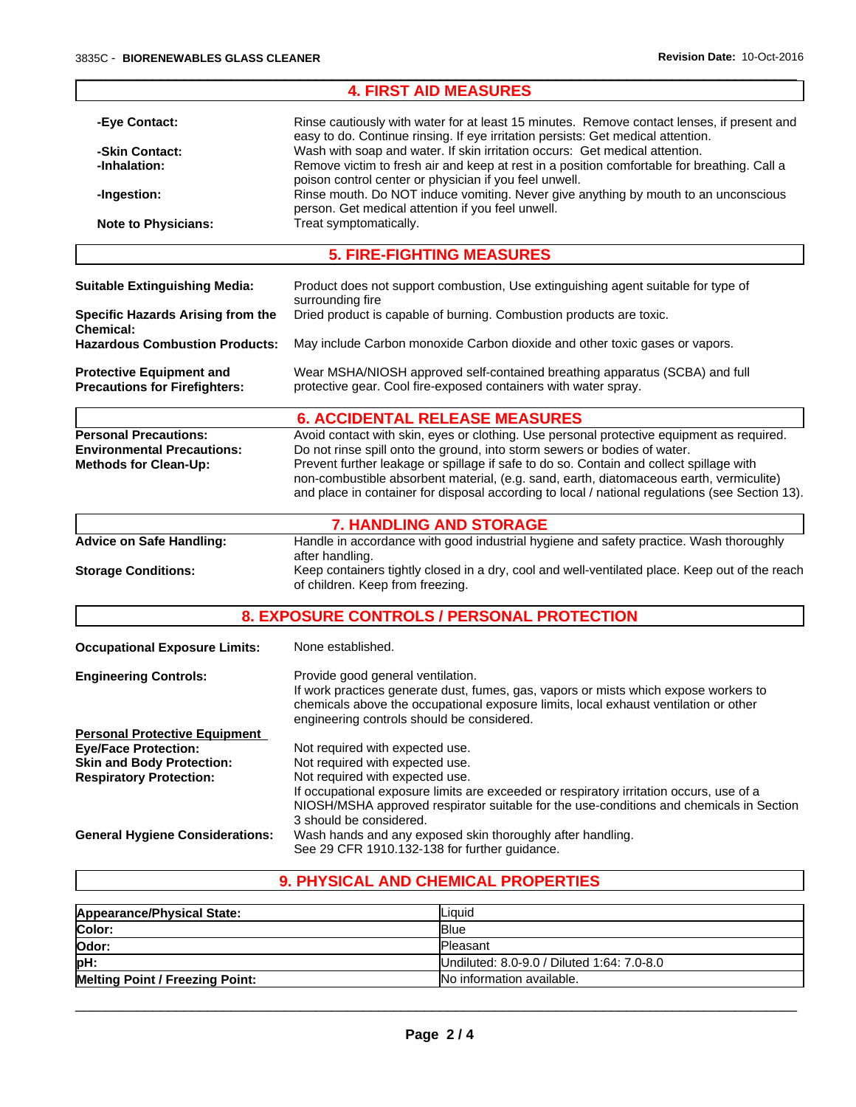|                                                                                                   | <b>4. FIRST AID MEASURES</b>                                                                                                                                                                                                                                                                                                                                                                                                                                    |
|---------------------------------------------------------------------------------------------------|-----------------------------------------------------------------------------------------------------------------------------------------------------------------------------------------------------------------------------------------------------------------------------------------------------------------------------------------------------------------------------------------------------------------------------------------------------------------|
| -Eye Contact:<br>-Skin Contact:<br>-Inhalation:                                                   | Rinse cautiously with water for at least 15 minutes. Remove contact lenses, if present and<br>easy to do. Continue rinsing. If eye irritation persists: Get medical attention.<br>Wash with soap and water. If skin irritation occurs: Get medical attention.<br>Remove victim to fresh air and keep at rest in a position comfortable for breathing. Call a<br>poison control center or physician if you feel unwell.                                          |
| -Ingestion:<br><b>Note to Physicians:</b>                                                         | Rinse mouth. Do NOT induce vomiting. Never give anything by mouth to an unconscious<br>person. Get medical attention if you feel unwell.<br>Treat symptomatically.                                                                                                                                                                                                                                                                                              |
|                                                                                                   | <b>5. FIRE-FIGHTING MEASURES</b>                                                                                                                                                                                                                                                                                                                                                                                                                                |
|                                                                                                   |                                                                                                                                                                                                                                                                                                                                                                                                                                                                 |
| <b>Suitable Extinguishing Media:</b>                                                              | Product does not support combustion, Use extinguishing agent suitable for type of<br>surrounding fire                                                                                                                                                                                                                                                                                                                                                           |
| Specific Hazards Arising from the<br><b>Chemical:</b>                                             | Dried product is capable of burning. Combustion products are toxic.                                                                                                                                                                                                                                                                                                                                                                                             |
| <b>Hazardous Combustion Products:</b>                                                             | May include Carbon monoxide Carbon dioxide and other toxic gases or vapors.                                                                                                                                                                                                                                                                                                                                                                                     |
| <b>Protective Equipment and</b><br><b>Precautions for Firefighters:</b>                           | Wear MSHA/NIOSH approved self-contained breathing apparatus (SCBA) and full<br>protective gear. Cool fire-exposed containers with water spray.                                                                                                                                                                                                                                                                                                                  |
|                                                                                                   | <b>6. ACCIDENTAL RELEASE MEASURES</b>                                                                                                                                                                                                                                                                                                                                                                                                                           |
| <b>Personal Precautions:</b><br><b>Environmental Precautions:</b><br><b>Methods for Clean-Up:</b> | Avoid contact with skin, eyes or clothing. Use personal protective equipment as required.<br>Do not rinse spill onto the ground, into storm sewers or bodies of water.<br>Prevent further leakage or spillage if safe to do so. Contain and collect spillage with<br>non-combustible absorbent material, (e.g. sand, earth, diatomaceous earth, vermiculite)<br>and place in container for disposal according to local / national regulations (see Section 13). |
|                                                                                                   | <b>7. HANDLING AND STORAGE</b>                                                                                                                                                                                                                                                                                                                                                                                                                                  |
| <b>Advice on Safe Handling:</b>                                                                   | Handle in accordance with good industrial hygiene and safety practice. Wash thoroughly<br>after handling.                                                                                                                                                                                                                                                                                                                                                       |
| <b>Storage Conditions:</b>                                                                        | Keep containers tightly closed in a dry, cool and well-ventilated place. Keep out of the reach<br>of children. Keep from freezing.                                                                                                                                                                                                                                                                                                                              |
|                                                                                                   | 8. EXPOSURE CONTROLS / PERSONAL PROTECTION                                                                                                                                                                                                                                                                                                                                                                                                                      |
| <b>Occupational Exposure Limits:</b>                                                              | None established.                                                                                                                                                                                                                                                                                                                                                                                                                                               |
| <b>Engineering Controls:</b>                                                                      | Provide good general ventilation.<br>If work practices generate dust, fumes, gas, vapors or mists which expose workers to<br>chemicals above the occupational exposure limits, local exhaust ventilation or other<br>engineering controls should be considered.                                                                                                                                                                                                 |
| <b>Personal Protective Equipment</b>                                                              |                                                                                                                                                                                                                                                                                                                                                                                                                                                                 |
| <b>Eye/Face Protection:</b><br><b>Skin and Body Protection:</b>                                   | Not required with expected use.<br>Not required with expected use.                                                                                                                                                                                                                                                                                                                                                                                              |
| <b>Respiratory Protection:</b>                                                                    | Not required with expected use.<br>If occupational exposure limits are exceeded or respiratory irritation occurs, use of a<br>NIOSH/MSHA approved respirator suitable for the use-conditions and chemicals in Section                                                                                                                                                                                                                                           |
| <b>General Hygiene Considerations:</b>                                                            | 3 should be considered.<br>Wash hands and any exposed skin thoroughly after handling.<br>See 29 CFR 1910.132-138 for further guidance.                                                                                                                                                                                                                                                                                                                          |
|                                                                                                   |                                                                                                                                                                                                                                                                                                                                                                                                                                                                 |

 $\_$  ,  $\_$  ,  $\_$  ,  $\_$  ,  $\_$  ,  $\_$  ,  $\_$  ,  $\_$  ,  $\_$  ,  $\_$  ,  $\_$  ,  $\_$  ,  $\_$  ,  $\_$  ,  $\_$  ,  $\_$  ,  $\_$  ,  $\_$  ,  $\_$  ,  $\_$  ,  $\_$  ,  $\_$  ,  $\_$  ,  $\_$  ,  $\_$  ,  $\_$  ,  $\_$  ,  $\_$  ,  $\_$  ,  $\_$  ,  $\_$  ,  $\_$  ,  $\_$  ,  $\_$  ,  $\_$  ,  $\_$  ,  $\_$  ,

# **9. PHYSICAL AND CHEMICAL PROPERTIES**

| Appearance/Physical State:             | <b>Liauid</b>                              |  |
|----------------------------------------|--------------------------------------------|--|
| Color:                                 | <b>Blue</b>                                |  |
| Odor:                                  | <b>IPleasant</b>                           |  |
| pH:                                    | Undiluted: 8.0-9.0 / Diluted 1:64: 7.0-8.0 |  |
| <b>Melting Point / Freezing Point:</b> | INo information available.                 |  |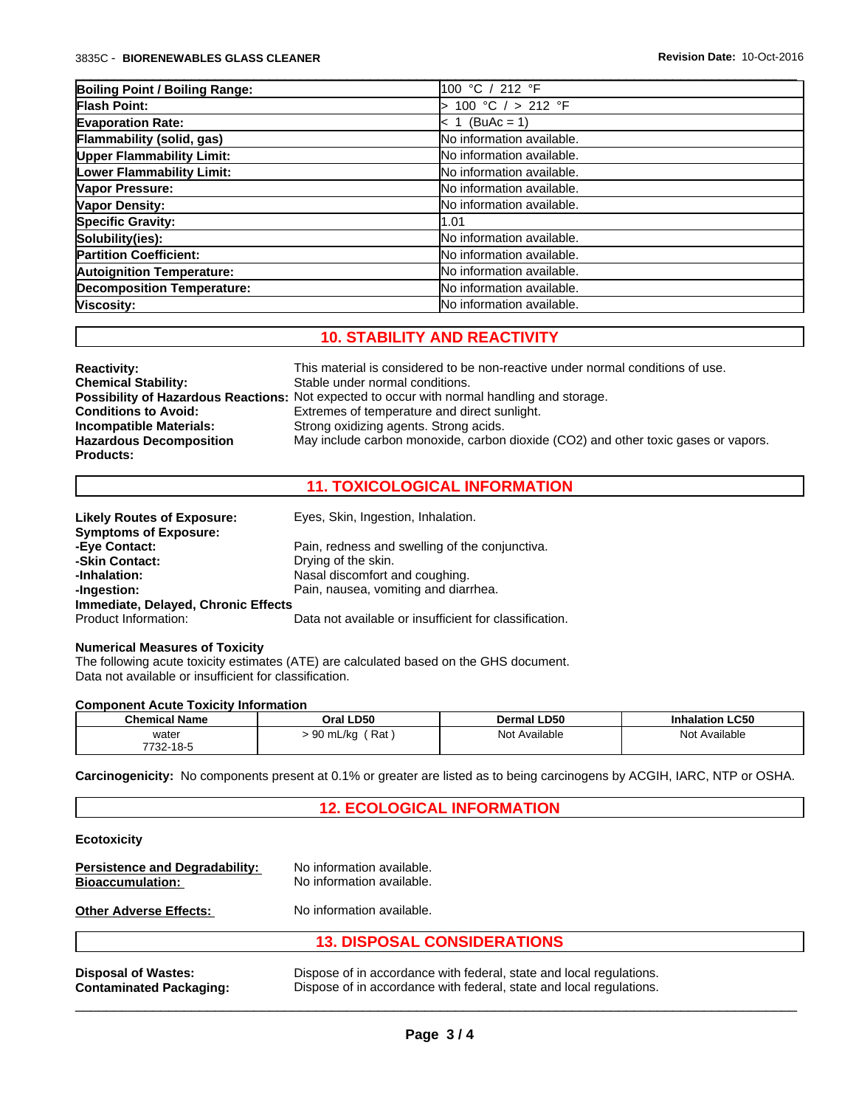| Boiling Point / Boiling Range:    | 100 °C / 212 °F                  |
|-----------------------------------|----------------------------------|
| <b>Flash Point:</b>               | 100 °C / > 212 °F                |
| <b>Evaporation Rate:</b>          | $< 1$ (BuAc = 1)                 |
| Flammability (solid, gas)         | No information available.        |
| <b>Upper Flammability Limit:</b>  | No information available.        |
| Lower Flammability Limit:         | No information available.        |
| Vapor Pressure:                   | No information available.        |
| Vapor Density:                    | No information available.        |
| <b>Specific Gravity:</b>          | 1.01                             |
| Solubility(ies):                  | No information available.        |
| <b>Partition Coefficient:</b>     | <b>No information available.</b> |
| <b>Autoignition Temperature:</b>  | No information available.        |
| <b>Decomposition Temperature:</b> | No information available.        |
| Viscosity:                        | No information available.        |

 $\_$  ,  $\_$  ,  $\_$  ,  $\_$  ,  $\_$  ,  $\_$  ,  $\_$  ,  $\_$  ,  $\_$  ,  $\_$  ,  $\_$  ,  $\_$  ,  $\_$  ,  $\_$  ,  $\_$  ,  $\_$  ,  $\_$  ,  $\_$  ,  $\_$  ,  $\_$  ,  $\_$  ,  $\_$  ,  $\_$  ,  $\_$  ,  $\_$  ,  $\_$  ,  $\_$  ,  $\_$  ,  $\_$  ,  $\_$  ,  $\_$  ,  $\_$  ,  $\_$  ,  $\_$  ,  $\_$  ,  $\_$  ,  $\_$  ,

# **10. STABILITY AND REACTIVITY**

| <b>Reactivity:</b>             | This material is considered to be non-reactive under normal conditions of use.                     |
|--------------------------------|----------------------------------------------------------------------------------------------------|
| <b>Chemical Stability:</b>     | Stable under normal conditions.                                                                    |
|                                | <b>Possibility of Hazardous Reactions:</b> Not expected to occur with normal handling and storage. |
| <b>Conditions to Avoid:</b>    | Extremes of temperature and direct sunlight.                                                       |
| <b>Incompatible Materials:</b> | Strong oxidizing agents. Strong acids.                                                             |
| <b>Hazardous Decomposition</b> | May include carbon monoxide, carbon dioxide (CO2) and other toxic gases or vapors.                 |
| <b>Products:</b>               |                                                                                                    |

# **11. TOXICOLOGICAL INFORMATION**

| <b>Likely Routes of Exposure:</b>   | Eyes, Skin, Ingestion, Inhalation.                     |
|-------------------------------------|--------------------------------------------------------|
| <b>Symptoms of Exposure:</b>        |                                                        |
| -Eye Contact:                       | Pain, redness and swelling of the conjunctiva.         |
| -Skin Contact:                      | Drying of the skin.                                    |
| -Inhalation:                        | Nasal discomfort and coughing.                         |
| -Ingestion:                         | Pain, nausea, vomiting and diarrhea.                   |
| Immediate, Delayed, Chronic Effects |                                                        |
| Product Information:                | Data not available or insufficient for classification. |

#### **Numerical Measures of Toxicity**

The following acute toxicity estimates (ATE) are calculated based on the GHS document. Data not available or insufficient for classification.

#### **Component Acute Toxicity Information**

| <b>Chemical Name</b> | Oral LD50                      | Dermal LD50      | <b>Inhalation LC50</b> |
|----------------------|--------------------------------|------------------|------------------------|
| water                | Rat<br>$\sim$<br>J mL/ka<br>◡◡ | Not<br>Available | Not<br>t Available     |
| 7732-18-ა            |                                |                  |                        |

**Carcinogenicity:** No components present at 0.1% or greater are listed as to being carcinogens by ACGIH, IARC, NTP or OSHA.

## **12. ECOLOGICAL INFORMATION**

#### **Ecotoxicity**

|                                       | <b>13. DISPOSAL CONSIDERATIONS</b> |
|---------------------------------------|------------------------------------|
| <b>Other Adverse Effects:</b>         | No information available.          |
| <b>Bioaccumulation:</b>               | No information available.          |
| <b>Persistence and Degradability:</b> | No information available.          |

**Disposal of Wastes:** Dispose of in accordance with federal, state and local regulations. **Contaminated Packaging:** Dispose of in accordance with federal, state and local regulations.